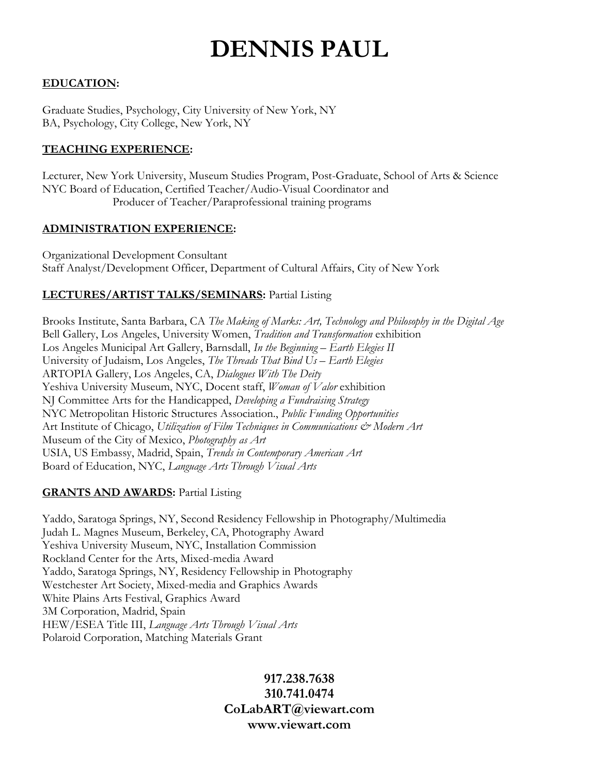# **DENNIS PAUL**

## **EDUCATION:**

Graduate Studies, Psychology, City University of New York, NY BA, Psychology, City College, New York, NY

## **TEACHING EXPERIENCE:**

Lecturer, New York University, Museum Studies Program, Post-Graduate, School of Arts & Science NYC Board of Education, Certified Teacher/Audio-Visual Coordinator and Producer of Teacher/Paraprofessional training programs

## **ADMINISTRATION EXPERIENCE:**

Organizational Development Consultant Staff Analyst/Development Officer, Department of Cultural Affairs, City of New York

# **LECTURES/ARTIST TALKS/SEMINARS:** Partial Listing

Brooks Institute, Santa Barbara, CA *The Making of Marks: Art, Technology and Philosophy in the Digital Age* Bell Gallery, Los Angeles, University Women, *Tradition and Transformation* exhibition Los Angeles Municipal Art Gallery, Barnsdall, *In the Beginning – Earth Elegies II* University of Judaism, Los Angeles, *The Threads That Bind Us – Earth Elegies* ARTOPIA Gallery, Los Angeles, CA, *Dialogues With The Deity*  Yeshiva University Museum, NYC, Docent staff, *Woman of Valor* exhibition NJ Committee Arts for the Handicapped, *Developing a Fundraising Strategy* NYC Metropolitan Historic Structures Association., *Public Funding Opportunities* Art Institute of Chicago, *Utilization of Film Techniques in Communications & Modern Art* Museum of the City of Mexico, *Photography as Art*  USIA, US Embassy, Madrid, Spain, *Trends in Contemporary American Art* Board of Education, NYC, *Language Arts Through Visual Arts*

## **GRANTS AND AWARDS:** Partial Listing

Yaddo, Saratoga Springs, NY, Second Residency Fellowship in Photography/Multimedia Judah L. Magnes Museum, Berkeley, CA, Photography Award Yeshiva University Museum, NYC, Installation Commission Rockland Center for the Arts, Mixed-media Award Yaddo, Saratoga Springs, NY, Residency Fellowship in Photography Westchester Art Society, Mixed-media and Graphics Awards White Plains Arts Festival, Graphics Award 3M Corporation, Madrid, Spain HEW/ESEA Title III, *Language Arts Through Visual Arts* Polaroid Corporation, Matching Materials Grant

# **917.238.7638 310.741.0474 CoLabART@viewart.com www.viewart.com**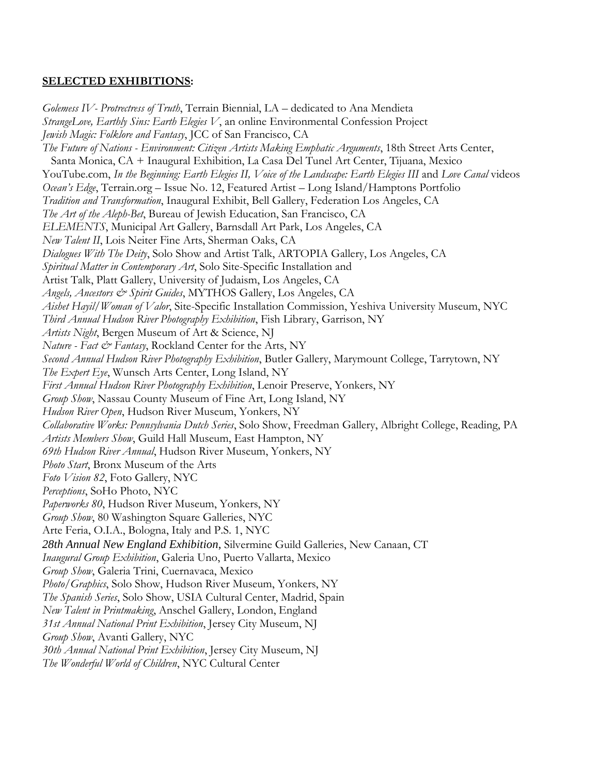#### **SELECTED EXHIBITIONS:**

*Golemess IV- Protrectress of Truth*, Terrain Biennial, LA – dedicated to Ana Mendieta *StrangeLove, Earthly Sins: Earth Elegies V*, an online Environmental Confession Project *Jewish Magic: Folklore and Fantasy*, JCC of San Francisco, CA *The Future of Nations - Environment: Citizen Artists Making Emphatic Arguments*, 18th Street Arts Center, Santa Monica, CA + Inaugural Exhibition, La Casa Del Tunel Art Center, Tijuana, Mexico YouTube.com, *In the Beginning: Earth Elegies II, Voice of the Landscape: Earth Elegies III* and *Love Canal* videos *Ocean's Edge*, Terrain.org – Issue No. 12, Featured Artist – Long Island/Hamptons Portfolio *Tradition and Transformation*, Inaugural Exhibit, Bell Gallery, Federation Los Angeles, CA *The Art of the Aleph-Bet*, Bureau of Jewish Education, San Francisco, CA *ELEMENTS*, Municipal Art Gallery, Barnsdall Art Park, Los Angeles, CA *New Talent II*, Lois Neiter Fine Arts, Sherman Oaks, CA *Dialogues With The Deity*, Solo Show and Artist Talk, ARTOPIA Gallery, Los Angeles, CA *Spiritual Matter in Contemporary Art*, Solo Site-Specific Installation and Artist Talk, Platt Gallery, University of Judaism, Los Angeles, CA *Angels, Ancestors & Spirit Guides*, MYTHOS Gallery, Los Angeles, CA *Aishet Hayil/Woman of Valor*, Site-Specific Installation Commission, Yeshiva University Museum, NYC *Third Annual Hudson River Photography Exhibition*, Fish Library, Garrison, NY *Artists Night*, Bergen Museum of Art & Science, NJ *Nature - Fact & Fantasy*, Rockland Center for the Arts, NY *Second Annual Hudson River Photography Exhibition*, Butler Gallery, Marymount College, Tarrytown, NY *The Expert Eye*, Wunsch Arts Center, Long Island, NY *First Annual Hudson River Photography Exhibition*, Lenoir Preserve, Yonkers, NY *Group Show*, Nassau County Museum of Fine Art, Long Island, NY *Hudson River Open*, Hudson River Museum, Yonkers, NY *Collaborative Works: Pennsylvania Dutch Series*, Solo Show, Freedman Gallery, Albright College, Reading, PA *Artists Members Show*, Guild Hall Museum, East Hampton, NY *69th Hudson River Annual*, Hudson River Museum, Yonkers, NY *Photo Start*, Bronx Museum of the Arts *Foto Vision 82*, Foto Gallery, NYC *Perceptions*, SoHo Photo, NYC *Paperworks 80*, Hudson River Museum, Yonkers, NY *Group Show*, 80 Washington Square Galleries, NYC Arte Feria, O.I.A., Bologna, Italy and P.S. 1, NYC *28th Annual New England Exhibition*, Silvermine Guild Galleries, New Canaan, CT *Inaugural Group Exhibition*, Galeria Uno, Puerto Vallarta, Mexico *Group Show*, Galeria Trini, Cuernavaca, Mexico *Photo/Graphics*, Solo Show, Hudson River Museum, Yonkers, NY *The Spanish Series*, Solo Show, USIA Cultural Center, Madrid, Spain *New Talent in Printmaking*, Anschel Gallery, London, England *31st Annual National Print Exhibition*, Jersey City Museum, NJ *Group Show*, Avanti Gallery, NYC *30th Annual National Print Exhibition*, Jersey City Museum, NJ *The Wonderful World of Children*, NYC Cultural Center